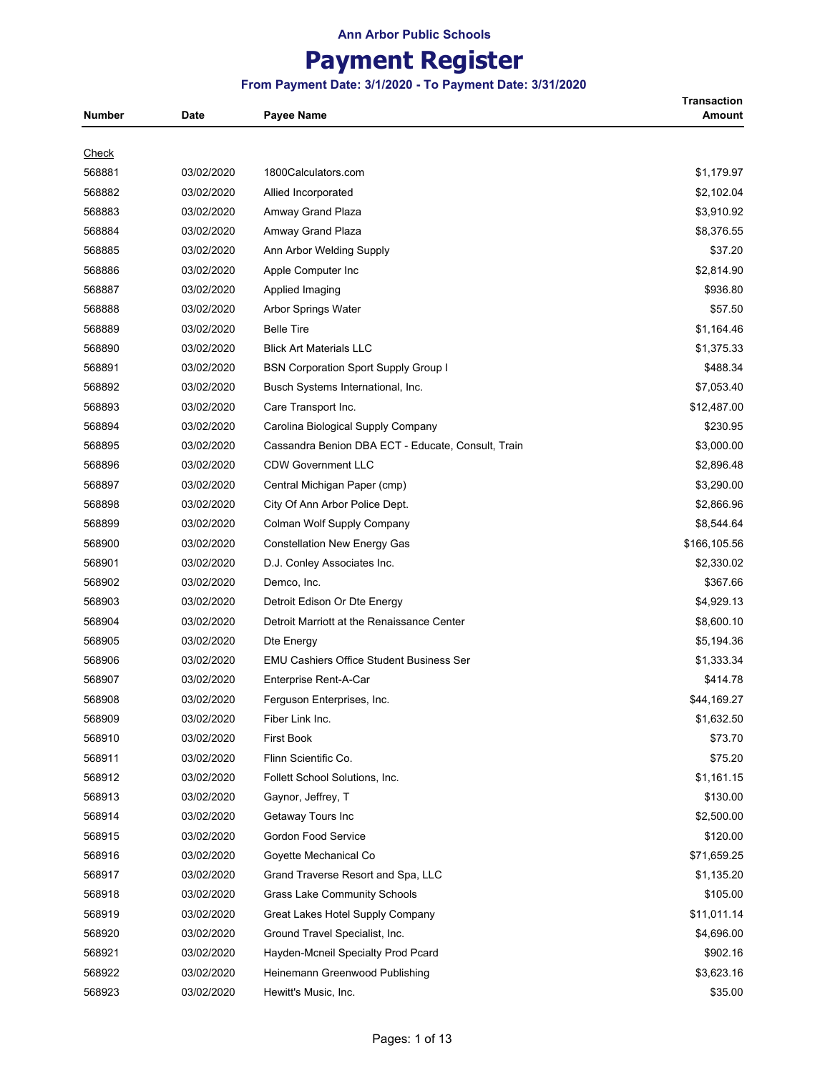# **Payment Register**

### **From Payment Date: 3/1/2020 - To Payment Date: 3/31/2020**

**Transaction** 

| Number       | Date       | <b>Payee Name</b>                                  | Amount       |
|--------------|------------|----------------------------------------------------|--------------|
|              |            |                                                    |              |
| <u>Check</u> |            |                                                    |              |
| 568881       | 03/02/2020 | 1800Calculators.com                                | \$1,179.97   |
| 568882       | 03/02/2020 | Allied Incorporated                                | \$2,102.04   |
| 568883       | 03/02/2020 | Amway Grand Plaza                                  | \$3,910.92   |
| 568884       | 03/02/2020 | Amway Grand Plaza                                  | \$8,376.55   |
| 568885       | 03/02/2020 | Ann Arbor Welding Supply                           | \$37.20      |
| 568886       | 03/02/2020 | Apple Computer Inc                                 | \$2,814.90   |
| 568887       | 03/02/2020 | Applied Imaging                                    | \$936.80     |
| 568888       | 03/02/2020 | Arbor Springs Water                                | \$57.50      |
| 568889       | 03/02/2020 | <b>Belle Tire</b>                                  | \$1,164.46   |
| 568890       | 03/02/2020 | <b>Blick Art Materials LLC</b>                     | \$1,375.33   |
| 568891       | 03/02/2020 | <b>BSN Corporation Sport Supply Group I</b>        | \$488.34     |
| 568892       | 03/02/2020 | Busch Systems International, Inc.                  | \$7,053.40   |
| 568893       | 03/02/2020 | Care Transport Inc.                                | \$12,487.00  |
| 568894       | 03/02/2020 | Carolina Biological Supply Company                 | \$230.95     |
| 568895       | 03/02/2020 | Cassandra Benion DBA ECT - Educate, Consult, Train | \$3,000.00   |
| 568896       | 03/02/2020 | <b>CDW Government LLC</b>                          | \$2,896.48   |
| 568897       | 03/02/2020 | Central Michigan Paper (cmp)                       | \$3,290.00   |
| 568898       | 03/02/2020 | City Of Ann Arbor Police Dept.                     | \$2,866.96   |
| 568899       | 03/02/2020 | Colman Wolf Supply Company                         | \$8,544.64   |
| 568900       | 03/02/2020 | <b>Constellation New Energy Gas</b>                | \$166,105.56 |
| 568901       | 03/02/2020 | D.J. Conley Associates Inc.                        | \$2,330.02   |
| 568902       | 03/02/2020 | Demco, Inc.                                        | \$367.66     |
| 568903       | 03/02/2020 | Detroit Edison Or Dte Energy                       | \$4,929.13   |
| 568904       | 03/02/2020 | Detroit Marriott at the Renaissance Center         | \$8,600.10   |
| 568905       | 03/02/2020 | Dte Energy                                         | \$5,194.36   |
| 568906       | 03/02/2020 | <b>EMU Cashiers Office Student Business Ser</b>    | \$1,333.34   |
| 568907       | 03/02/2020 | Enterprise Rent-A-Car                              | \$414.78     |
| 568908       | 03/02/2020 | Ferguson Enterprises, Inc.                         | \$44,169.27  |
| 568909       | 03/02/2020 | Fiber Link Inc.                                    | \$1,632.50   |
| 568910       | 03/02/2020 | <b>First Book</b>                                  | \$73.70      |
| 568911       | 03/02/2020 | Flinn Scientific Co.                               | \$75.20      |
| 568912       | 03/02/2020 | Follett School Solutions, Inc.                     | \$1,161.15   |
| 568913       | 03/02/2020 | Gaynor, Jeffrey, T                                 | \$130.00     |
| 568914       | 03/02/2020 | Getaway Tours Inc                                  | \$2,500.00   |
| 568915       | 03/02/2020 | Gordon Food Service                                | \$120.00     |
| 568916       | 03/02/2020 | Goyette Mechanical Co                              | \$71,659.25  |
| 568917       | 03/02/2020 | Grand Traverse Resort and Spa, LLC                 | \$1,135.20   |
| 568918       | 03/02/2020 | <b>Grass Lake Community Schools</b>                | \$105.00     |
| 568919       | 03/02/2020 | Great Lakes Hotel Supply Company                   | \$11,011.14  |
| 568920       | 03/02/2020 | Ground Travel Specialist, Inc.                     | \$4,696.00   |
| 568921       | 03/02/2020 | Hayden-Mcneil Specialty Prod Pcard                 | \$902.16     |
| 568922       | 03/02/2020 | Heinemann Greenwood Publishing                     | \$3,623.16   |
| 568923       | 03/02/2020 | Hewitt's Music, Inc.                               | \$35.00      |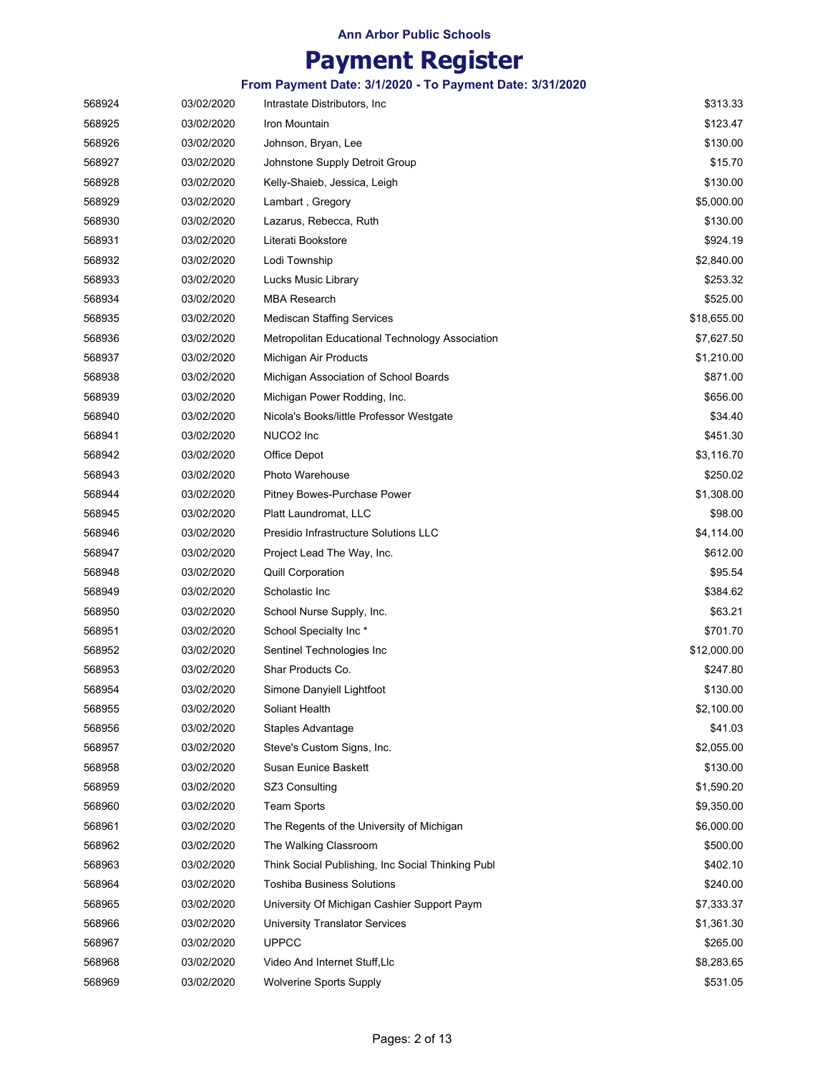# **Payment Register**

| 568924 | 03/02/2020 | Intrastate Distributors, Inc.                     | \$313.33    |
|--------|------------|---------------------------------------------------|-------------|
| 568925 | 03/02/2020 | Iron Mountain                                     | \$123.47    |
| 568926 | 03/02/2020 | Johnson, Bryan, Lee                               | \$130.00    |
| 568927 | 03/02/2020 | Johnstone Supply Detroit Group                    | \$15.70     |
| 568928 | 03/02/2020 | Kelly-Shaieb, Jessica, Leigh                      | \$130.00    |
| 568929 | 03/02/2020 | Lambart, Gregory                                  | \$5,000.00  |
| 568930 | 03/02/2020 | Lazarus, Rebecca, Ruth                            | \$130.00    |
| 568931 | 03/02/2020 | Literati Bookstore                                | \$924.19    |
| 568932 | 03/02/2020 | Lodi Township                                     | \$2,840.00  |
| 568933 | 03/02/2020 | Lucks Music Library                               | \$253.32    |
| 568934 | 03/02/2020 | <b>MBA Research</b>                               | \$525.00    |
| 568935 | 03/02/2020 | <b>Mediscan Staffing Services</b>                 | \$18,655.00 |
| 568936 | 03/02/2020 | Metropolitan Educational Technology Association   | \$7,627.50  |
| 568937 | 03/02/2020 | Michigan Air Products                             | \$1,210.00  |
| 568938 | 03/02/2020 | Michigan Association of School Boards             | \$871.00    |
| 568939 | 03/02/2020 | Michigan Power Rodding, Inc.                      | \$656.00    |
| 568940 | 03/02/2020 | Nicola's Books/little Professor Westgate          | \$34.40     |
| 568941 | 03/02/2020 | NUCO <sub>2</sub> Inc                             | \$451.30    |
| 568942 | 03/02/2020 | Office Depot                                      | \$3,116.70  |
| 568943 | 03/02/2020 | Photo Warehouse                                   | \$250.02    |
| 568944 | 03/02/2020 | Pitney Bowes-Purchase Power                       | \$1,308.00  |
| 568945 | 03/02/2020 | Platt Laundromat, LLC                             | \$98.00     |
| 568946 | 03/02/2020 | Presidio Infrastructure Solutions LLC             | \$4,114.00  |
| 568947 | 03/02/2020 | Project Lead The Way, Inc.                        | \$612.00    |
| 568948 | 03/02/2020 | <b>Quill Corporation</b>                          | \$95.54     |
| 568949 | 03/02/2020 | Scholastic Inc                                    | \$384.62    |
| 568950 | 03/02/2020 | School Nurse Supply, Inc.                         | \$63.21     |
| 568951 | 03/02/2020 | School Specialty Inc*                             | \$701.70    |
| 568952 | 03/02/2020 | Sentinel Technologies Inc                         | \$12,000.00 |
| 568953 | 03/02/2020 | Shar Products Co.                                 | \$247.80    |
| 568954 | 03/02/2020 | Simone Danyiell Lightfoot                         | \$130.00    |
| 568955 | 03/02/2020 | Soliant Health                                    | \$2,100.00  |
| 568956 | 03/02/2020 | Staples Advantage                                 | \$41.03     |
| 568957 | 03/02/2020 | Steve's Custom Signs, Inc.                        | \$2,055.00  |
| 568958 | 03/02/2020 | Susan Eunice Baskett                              | \$130.00    |
| 568959 | 03/02/2020 | SZ3 Consulting                                    | \$1,590.20  |
| 568960 | 03/02/2020 | <b>Team Sports</b>                                | \$9,350.00  |
| 568961 | 03/02/2020 | The Regents of the University of Michigan         | \$6,000.00  |
| 568962 | 03/02/2020 | The Walking Classroom                             | \$500.00    |
| 568963 | 03/02/2020 | Think Social Publishing, Inc Social Thinking Publ | \$402.10    |
| 568964 | 03/02/2020 | <b>Toshiba Business Solutions</b>                 | \$240.00    |
| 568965 | 03/02/2020 | University Of Michigan Cashier Support Paym       | \$7,333.37  |
| 568966 | 03/02/2020 | <b>University Translator Services</b>             | \$1,361.30  |
| 568967 | 03/02/2020 | <b>UPPCC</b>                                      | \$265.00    |
| 568968 | 03/02/2020 | Video And Internet Stuff, Llc                     | \$8,283.65  |
| 568969 | 03/02/2020 | <b>Wolverine Sports Supply</b>                    | \$531.05    |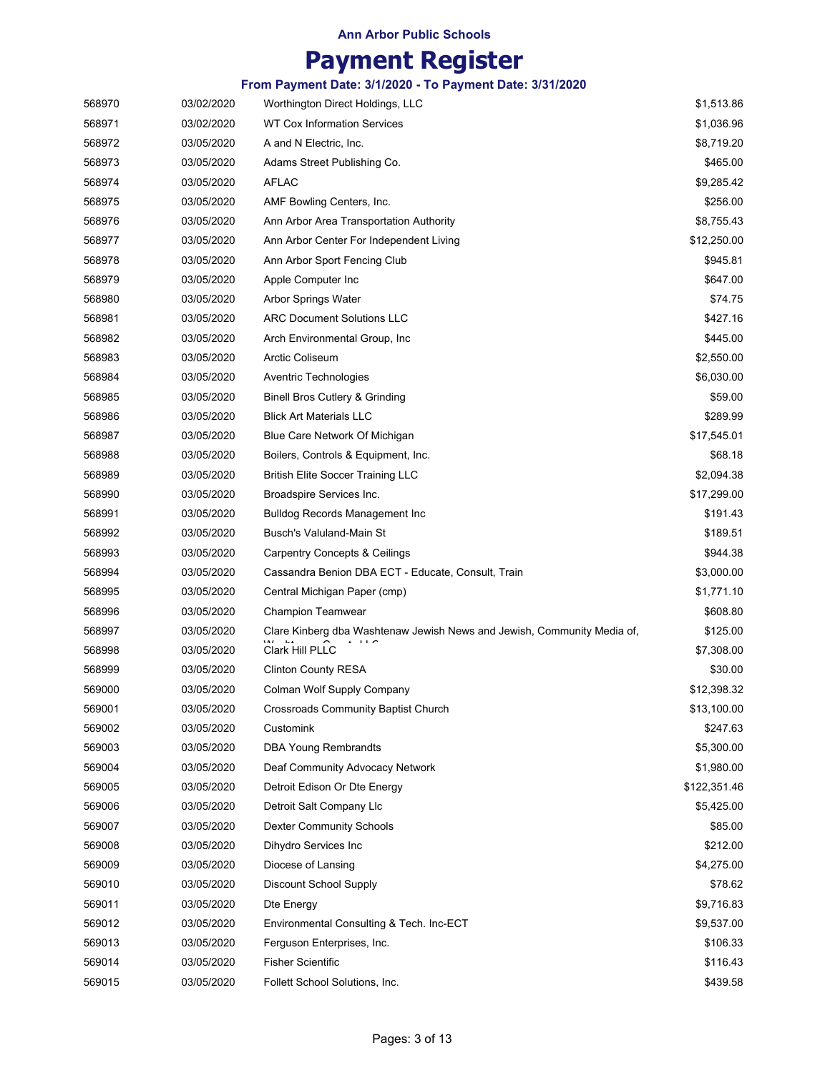# **Payment Register**

| 568970 | 03/02/2020 | Worthington Direct Holdings, LLC                                        | \$1,513.86   |
|--------|------------|-------------------------------------------------------------------------|--------------|
| 568971 | 03/02/2020 | WT Cox Information Services                                             | \$1,036.96   |
| 568972 | 03/05/2020 | A and N Electric, Inc.                                                  | \$8,719.20   |
| 568973 | 03/05/2020 | Adams Street Publishing Co.                                             | \$465.00     |
| 568974 | 03/05/2020 | <b>AFLAC</b>                                                            | \$9,285.42   |
| 568975 | 03/05/2020 | AMF Bowling Centers, Inc.                                               | \$256.00     |
| 568976 | 03/05/2020 | Ann Arbor Area Transportation Authority                                 | \$8,755.43   |
| 568977 | 03/05/2020 | Ann Arbor Center For Independent Living                                 | \$12,250.00  |
| 568978 | 03/05/2020 | Ann Arbor Sport Fencing Club                                            | \$945.81     |
| 568979 | 03/05/2020 | Apple Computer Inc                                                      | \$647.00     |
| 568980 | 03/05/2020 | Arbor Springs Water                                                     | \$74.75      |
| 568981 | 03/05/2020 | <b>ARC Document Solutions LLC</b>                                       | \$427.16     |
| 568982 | 03/05/2020 | Arch Environmental Group, Inc.                                          | \$445.00     |
| 568983 | 03/05/2020 | <b>Arctic Coliseum</b>                                                  | \$2,550.00   |
| 568984 | 03/05/2020 | Aventric Technologies                                                   | \$6,030.00   |
| 568985 | 03/05/2020 | <b>Binell Bros Cutlery &amp; Grinding</b>                               | \$59.00      |
| 568986 | 03/05/2020 | <b>Blick Art Materials LLC</b>                                          | \$289.99     |
| 568987 | 03/05/2020 | Blue Care Network Of Michigan                                           | \$17,545.01  |
| 568988 | 03/05/2020 | Boilers, Controls & Equipment, Inc.                                     | \$68.18      |
| 568989 | 03/05/2020 | <b>British Elite Soccer Training LLC</b>                                | \$2,094.38   |
| 568990 | 03/05/2020 | Broadspire Services Inc.                                                | \$17,299.00  |
| 568991 | 03/05/2020 | <b>Bulldog Records Management Inc.</b>                                  | \$191.43     |
| 568992 | 03/05/2020 | Busch's Valuland-Main St                                                | \$189.51     |
| 568993 | 03/05/2020 | <b>Carpentry Concepts &amp; Ceilings</b>                                | \$944.38     |
| 568994 | 03/05/2020 | Cassandra Benion DBA ECT - Educate, Consult, Train                      | \$3,000.00   |
| 568995 | 03/05/2020 | Central Michigan Paper (cmp)                                            | \$1,771.10   |
| 568996 | 03/05/2020 | Champion Teamwear                                                       | \$608.80     |
| 568997 | 03/05/2020 | Clare Kinberg dba Washtenaw Jewish News and Jewish, Community Media of, | \$125.00     |
| 568998 | 03/05/2020 | Clark Hill PLLC                                                         | \$7,308.00   |
| 568999 | 03/05/2020 | <b>Clinton County RESA</b>                                              | \$30.00      |
| 569000 | 03/05/2020 | Colman Wolf Supply Company                                              | \$12,398.32  |
| 569001 | 03/05/2020 | Crossroads Community Baptist Church                                     | \$13,100.00  |
| 569002 | 03/05/2020 | Customink                                                               | \$247.63     |
| 569003 | 03/05/2020 | <b>DBA Young Rembrandts</b>                                             | \$5,300.00   |
| 569004 | 03/05/2020 | Deaf Community Advocacy Network                                         | \$1,980.00   |
| 569005 | 03/05/2020 | Detroit Edison Or Dte Energy                                            | \$122,351.46 |
| 569006 | 03/05/2020 | Detroit Salt Company Llc                                                | \$5,425.00   |
| 569007 | 03/05/2020 | <b>Dexter Community Schools</b>                                         | \$85.00      |
| 569008 | 03/05/2020 | Dihydro Services Inc                                                    | \$212.00     |
| 569009 | 03/05/2020 | Diocese of Lansing                                                      | \$4,275.00   |
| 569010 | 03/05/2020 | Discount School Supply                                                  | \$78.62      |
| 569011 | 03/05/2020 | Dte Energy                                                              | \$9,716.83   |
| 569012 | 03/05/2020 | Environmental Consulting & Tech. Inc-ECT                                | \$9,537.00   |
| 569013 | 03/05/2020 | Ferguson Enterprises, Inc.                                              | \$106.33     |
| 569014 | 03/05/2020 | <b>Fisher Scientific</b>                                                | \$116.43     |
| 569015 | 03/05/2020 | Follett School Solutions, Inc.                                          | \$439.58     |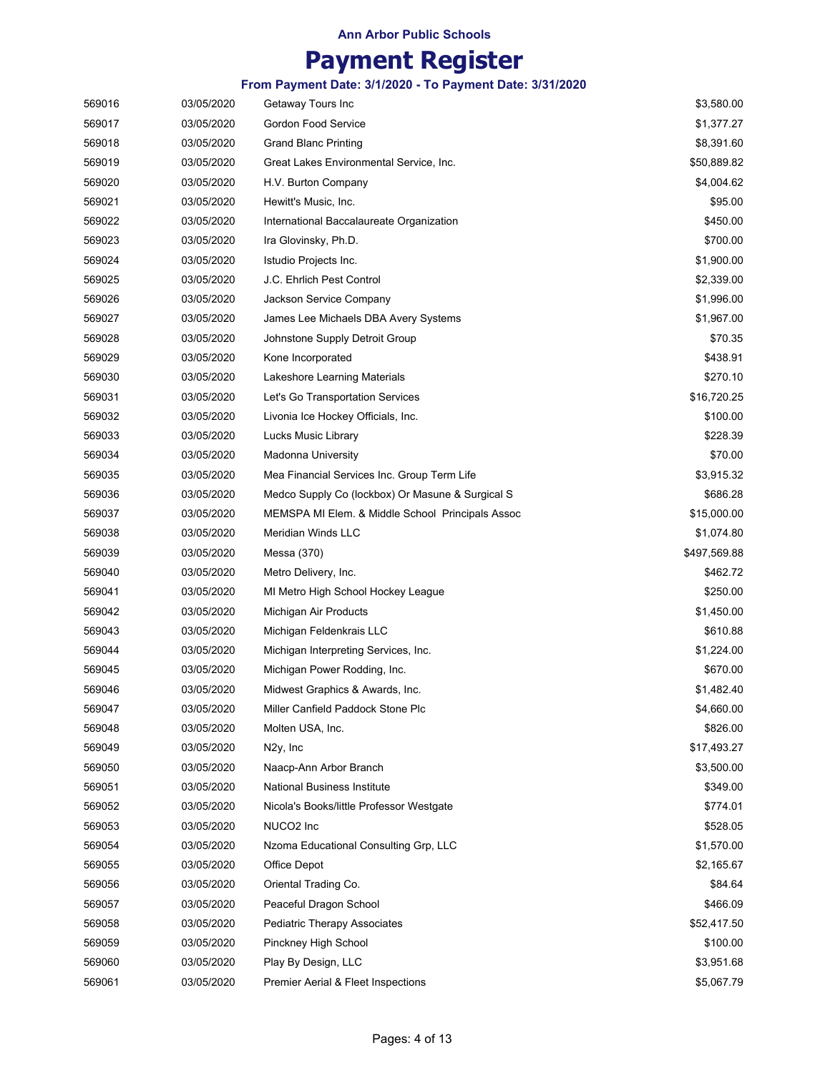# **Payment Register**

| 569016 | 03/05/2020 | Getaway Tours Inc                                | \$3,580.00   |
|--------|------------|--------------------------------------------------|--------------|
| 569017 | 03/05/2020 | <b>Gordon Food Service</b>                       | \$1,377.27   |
| 569018 | 03/05/2020 | <b>Grand Blanc Printing</b>                      | \$8,391.60   |
| 569019 | 03/05/2020 | Great Lakes Environmental Service, Inc.          | \$50,889.82  |
| 569020 | 03/05/2020 | H.V. Burton Company                              | \$4,004.62   |
| 569021 | 03/05/2020 | Hewitt's Music, Inc.                             | \$95.00      |
| 569022 | 03/05/2020 | International Baccalaureate Organization         | \$450.00     |
| 569023 | 03/05/2020 | Ira Glovinsky, Ph.D.                             | \$700.00     |
| 569024 | 03/05/2020 | Istudio Projects Inc.                            | \$1,900.00   |
| 569025 | 03/05/2020 | J.C. Ehrlich Pest Control                        | \$2,339.00   |
| 569026 | 03/05/2020 | Jackson Service Company                          | \$1,996.00   |
| 569027 | 03/05/2020 | James Lee Michaels DBA Avery Systems             | \$1,967.00   |
| 569028 | 03/05/2020 | Johnstone Supply Detroit Group                   | \$70.35      |
| 569029 | 03/05/2020 | Kone Incorporated                                | \$438.91     |
| 569030 | 03/05/2020 | Lakeshore Learning Materials                     | \$270.10     |
| 569031 | 03/05/2020 | Let's Go Transportation Services                 | \$16,720.25  |
| 569032 | 03/05/2020 | Livonia Ice Hockey Officials, Inc.               | \$100.00     |
| 569033 | 03/05/2020 | Lucks Music Library                              | \$228.39     |
| 569034 | 03/05/2020 | Madonna University                               | \$70.00      |
| 569035 | 03/05/2020 | Mea Financial Services Inc. Group Term Life      | \$3,915.32   |
| 569036 | 03/05/2020 | Medco Supply Co (lockbox) Or Masune & Surgical S | \$686.28     |
| 569037 | 03/05/2020 | MEMSPA MI Elem. & Middle School Principals Assoc | \$15,000.00  |
| 569038 | 03/05/2020 | Meridian Winds LLC                               | \$1,074.80   |
| 569039 | 03/05/2020 | Messa (370)                                      | \$497,569.88 |
| 569040 | 03/05/2020 | Metro Delivery, Inc.                             | \$462.72     |
| 569041 | 03/05/2020 | MI Metro High School Hockey League               | \$250.00     |
| 569042 | 03/05/2020 | Michigan Air Products                            | \$1,450.00   |
| 569043 | 03/05/2020 | Michigan Feldenkrais LLC                         | \$610.88     |
| 569044 | 03/05/2020 | Michigan Interpreting Services, Inc.             | \$1,224.00   |
| 569045 | 03/05/2020 | Michigan Power Rodding, Inc.                     | \$670.00     |
| 569046 | 03/05/2020 | Midwest Graphics & Awards, Inc.                  | \$1,482.40   |
| 569047 | 03/05/2020 | Miller Canfield Paddock Stone Plc                | \$4,660.00   |
| 569048 | 03/05/2020 | Molten USA, Inc.                                 | \$826.00     |
| 569049 | 03/05/2020 | N <sub>2y</sub> , Inc                            | \$17,493.27  |
| 569050 | 03/05/2020 | Naacp-Ann Arbor Branch                           | \$3,500.00   |
| 569051 | 03/05/2020 | National Business Institute                      | \$349.00     |
| 569052 | 03/05/2020 | Nicola's Books/little Professor Westgate         | \$774.01     |
| 569053 | 03/05/2020 | NUCO2 Inc                                        | \$528.05     |
| 569054 | 03/05/2020 | Nzoma Educational Consulting Grp, LLC            | \$1,570.00   |
| 569055 | 03/05/2020 | Office Depot                                     | \$2,165.67   |
| 569056 | 03/05/2020 | Oriental Trading Co.                             | \$84.64      |
| 569057 | 03/05/2020 | Peaceful Dragon School                           | \$466.09     |
| 569058 | 03/05/2020 | Pediatric Therapy Associates                     | \$52,417.50  |
| 569059 | 03/05/2020 | Pinckney High School                             | \$100.00     |
| 569060 | 03/05/2020 | Play By Design, LLC                              | \$3,951.68   |
| 569061 | 03/05/2020 | Premier Aerial & Fleet Inspections               | \$5,067.79   |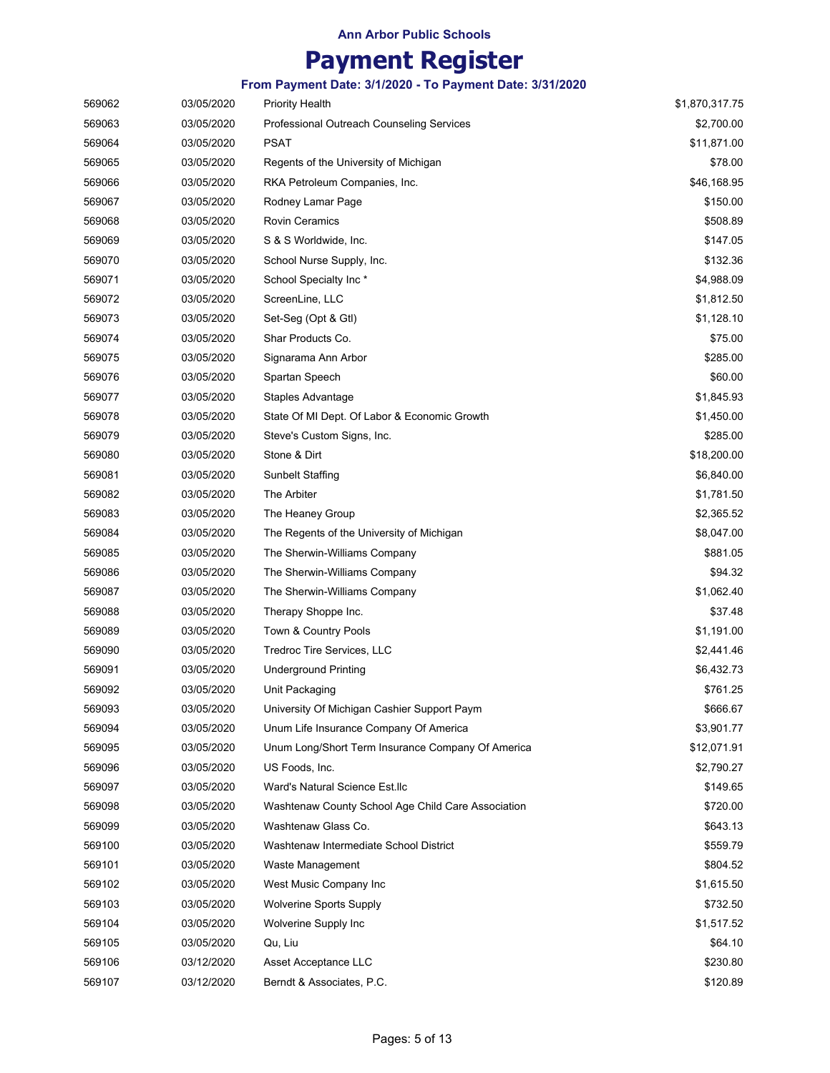# **Payment Register**

| 569062 | 03/05/2020 | <b>Priority Health</b>                             | \$1,870,317.75 |
|--------|------------|----------------------------------------------------|----------------|
| 569063 | 03/05/2020 | Professional Outreach Counseling Services          | \$2,700.00     |
| 569064 | 03/05/2020 | PSAT                                               | \$11,871.00    |
| 569065 | 03/05/2020 | Regents of the University of Michigan              | \$78.00        |
| 569066 | 03/05/2020 | RKA Petroleum Companies, Inc.                      | \$46,168.95    |
| 569067 | 03/05/2020 | Rodney Lamar Page                                  | \$150.00       |
| 569068 | 03/05/2020 | <b>Rovin Ceramics</b>                              | \$508.89       |
| 569069 | 03/05/2020 | S & S Worldwide, Inc.                              | \$147.05       |
| 569070 | 03/05/2020 | School Nurse Supply, Inc.                          | \$132.36       |
| 569071 | 03/05/2020 | School Specialty Inc*                              | \$4,988.09     |
| 569072 | 03/05/2020 | ScreenLine, LLC                                    | \$1,812.50     |
| 569073 | 03/05/2020 | Set-Seg (Opt & Gtl)                                | \$1,128.10     |
| 569074 | 03/05/2020 | Shar Products Co.                                  | \$75.00        |
| 569075 | 03/05/2020 | Signarama Ann Arbor                                | \$285.00       |
| 569076 | 03/05/2020 | Spartan Speech                                     | \$60.00        |
| 569077 | 03/05/2020 | Staples Advantage                                  | \$1,845.93     |
| 569078 | 03/05/2020 | State Of MI Dept. Of Labor & Economic Growth       | \$1,450.00     |
| 569079 | 03/05/2020 | Steve's Custom Signs, Inc.                         | \$285.00       |
| 569080 | 03/05/2020 | Stone & Dirt                                       | \$18,200.00    |
| 569081 | 03/05/2020 | <b>Sunbelt Staffing</b>                            | \$6,840.00     |
| 569082 | 03/05/2020 | The Arbiter                                        | \$1,781.50     |
| 569083 | 03/05/2020 | The Heaney Group                                   | \$2,365.52     |
| 569084 | 03/05/2020 | The Regents of the University of Michigan          | \$8,047.00     |
| 569085 | 03/05/2020 | The Sherwin-Williams Company                       | \$881.05       |
| 569086 | 03/05/2020 | The Sherwin-Williams Company                       | \$94.32        |
| 569087 | 03/05/2020 | The Sherwin-Williams Company                       | \$1,062.40     |
| 569088 | 03/05/2020 | Therapy Shoppe Inc.                                | \$37.48        |
| 569089 | 03/05/2020 | Town & Country Pools                               | \$1,191.00     |
| 569090 | 03/05/2020 | Tredroc Tire Services, LLC                         | \$2,441.46     |
| 569091 | 03/05/2020 | <b>Underground Printing</b>                        | \$6,432.73     |
| 569092 | 03/05/2020 | Unit Packaging                                     | \$761.25       |
| 569093 | 03/05/2020 | University Of Michigan Cashier Support Paym        | \$666.67       |
| 569094 | 03/05/2020 | Unum Life Insurance Company Of America             | \$3,901.77     |
| 569095 | 03/05/2020 | Unum Long/Short Term Insurance Company Of America  | \$12,071.91    |
| 569096 | 03/05/2020 | US Foods, Inc.                                     | \$2,790.27     |
| 569097 | 03/05/2020 | Ward's Natural Science Est.llc                     | \$149.65       |
| 569098 | 03/05/2020 | Washtenaw County School Age Child Care Association | \$720.00       |
| 569099 | 03/05/2020 | Washtenaw Glass Co.                                | \$643.13       |
| 569100 | 03/05/2020 | Washtenaw Intermediate School District             | \$559.79       |
| 569101 | 03/05/2020 | Waste Management                                   | \$804.52       |
| 569102 | 03/05/2020 | West Music Company Inc                             | \$1,615.50     |
| 569103 | 03/05/2020 | <b>Wolverine Sports Supply</b>                     | \$732.50       |
| 569104 | 03/05/2020 | Wolverine Supply Inc                               | \$1,517.52     |
| 569105 | 03/05/2020 | Qu, Liu                                            | \$64.10        |
| 569106 | 03/12/2020 | Asset Acceptance LLC                               | \$230.80       |
| 569107 | 03/12/2020 | Berndt & Associates, P.C.                          | \$120.89       |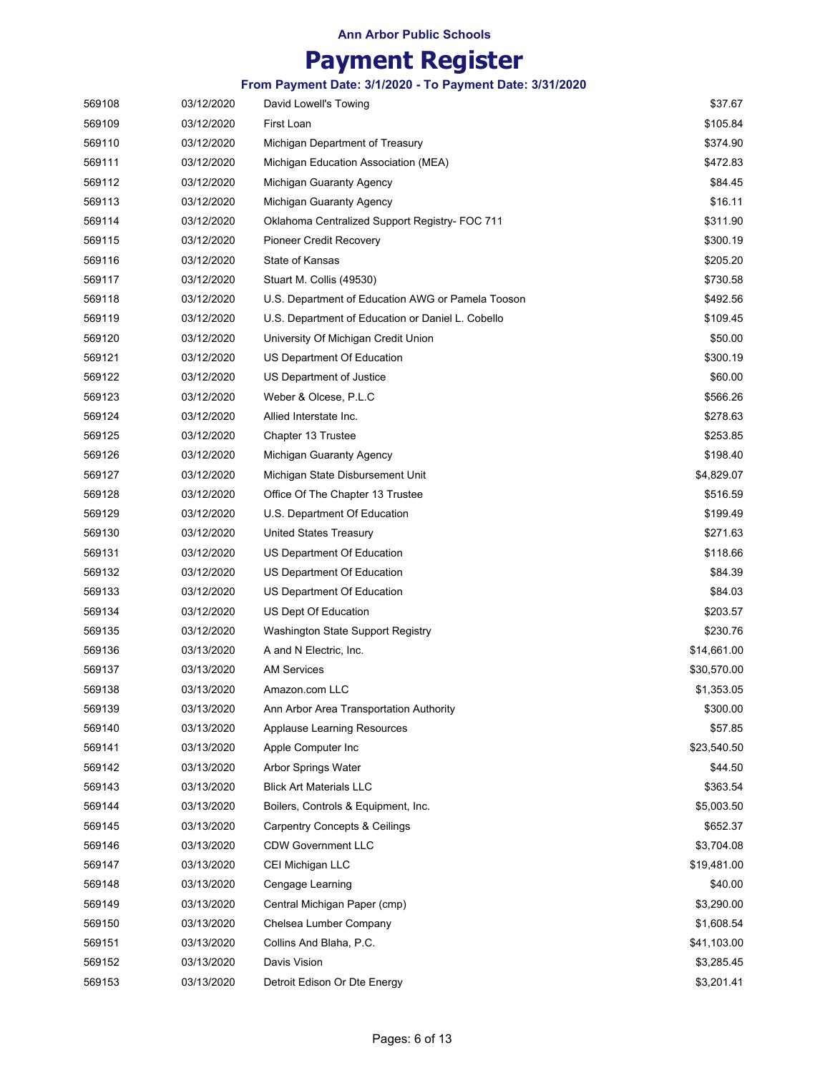# **Payment Register**

| 569108 | 03/12/2020 | David Lowell's Towing                             | \$37.67     |
|--------|------------|---------------------------------------------------|-------------|
| 569109 | 03/12/2020 | First Loan                                        | \$105.84    |
| 569110 | 03/12/2020 | Michigan Department of Treasury                   | \$374.90    |
| 569111 | 03/12/2020 | Michigan Education Association (MEA)              | \$472.83    |
| 569112 | 03/12/2020 | Michigan Guaranty Agency                          | \$84.45     |
| 569113 | 03/12/2020 | Michigan Guaranty Agency                          | \$16.11     |
| 569114 | 03/12/2020 | Oklahoma Centralized Support Registry- FOC 711    | \$311.90    |
| 569115 | 03/12/2020 | Pioneer Credit Recovery                           | \$300.19    |
| 569116 | 03/12/2020 | State of Kansas                                   | \$205.20    |
| 569117 | 03/12/2020 | Stuart M. Collis (49530)                          | \$730.58    |
| 569118 | 03/12/2020 | U.S. Department of Education AWG or Pamela Tooson | \$492.56    |
| 569119 | 03/12/2020 | U.S. Department of Education or Daniel L. Cobello | \$109.45    |
| 569120 | 03/12/2020 | University Of Michigan Credit Union               | \$50.00     |
| 569121 | 03/12/2020 | US Department Of Education                        | \$300.19    |
| 569122 | 03/12/2020 | US Department of Justice                          | \$60.00     |
| 569123 | 03/12/2020 | Weber & Olcese, P.L.C                             | \$566.26    |
| 569124 | 03/12/2020 | Allied Interstate Inc.                            | \$278.63    |
| 569125 | 03/12/2020 | Chapter 13 Trustee                                | \$253.85    |
| 569126 | 03/12/2020 | Michigan Guaranty Agency                          | \$198.40    |
| 569127 | 03/12/2020 | Michigan State Disbursement Unit                  | \$4,829.07  |
| 569128 | 03/12/2020 | Office Of The Chapter 13 Trustee                  | \$516.59    |
| 569129 | 03/12/2020 | U.S. Department Of Education                      | \$199.49    |
| 569130 | 03/12/2020 | United States Treasury                            | \$271.63    |
| 569131 | 03/12/2020 | US Department Of Education                        | \$118.66    |
| 569132 | 03/12/2020 | US Department Of Education                        | \$84.39     |
| 569133 | 03/12/2020 | US Department Of Education                        | \$84.03     |
| 569134 | 03/12/2020 | US Dept Of Education                              | \$203.57    |
| 569135 | 03/12/2020 | Washington State Support Registry                 | \$230.76    |
| 569136 | 03/13/2020 | A and N Electric, Inc.                            | \$14,661.00 |
| 569137 | 03/13/2020 | <b>AM Services</b>                                | \$30,570.00 |
| 569138 | 03/13/2020 | Amazon.com LLC                                    | \$1,353.05  |
| 569139 | 03/13/2020 | Ann Arbor Area Transportation Authority           | \$300.00    |
| 569140 | 03/13/2020 | <b>Applause Learning Resources</b>                | \$57.85     |
| 569141 | 03/13/2020 | Apple Computer Inc                                | \$23,540.50 |
| 569142 | 03/13/2020 | <b>Arbor Springs Water</b>                        | \$44.50     |
| 569143 | 03/13/2020 | <b>Blick Art Materials LLC</b>                    | \$363.54    |
| 569144 | 03/13/2020 | Boilers, Controls & Equipment, Inc.               | \$5,003.50  |
| 569145 | 03/13/2020 | <b>Carpentry Concepts &amp; Ceilings</b>          | \$652.37    |
| 569146 | 03/13/2020 | <b>CDW Government LLC</b>                         | \$3,704.08  |
| 569147 | 03/13/2020 | CEI Michigan LLC                                  | \$19,481.00 |
| 569148 | 03/13/2020 | Cengage Learning                                  | \$40.00     |
| 569149 | 03/13/2020 | Central Michigan Paper (cmp)                      | \$3,290.00  |
| 569150 | 03/13/2020 | Chelsea Lumber Company                            | \$1,608.54  |
| 569151 | 03/13/2020 | Collins And Blaha, P.C.                           | \$41,103.00 |
| 569152 | 03/13/2020 | Davis Vision                                      | \$3,285.45  |
| 569153 | 03/13/2020 | Detroit Edison Or Dte Energy                      | \$3,201.41  |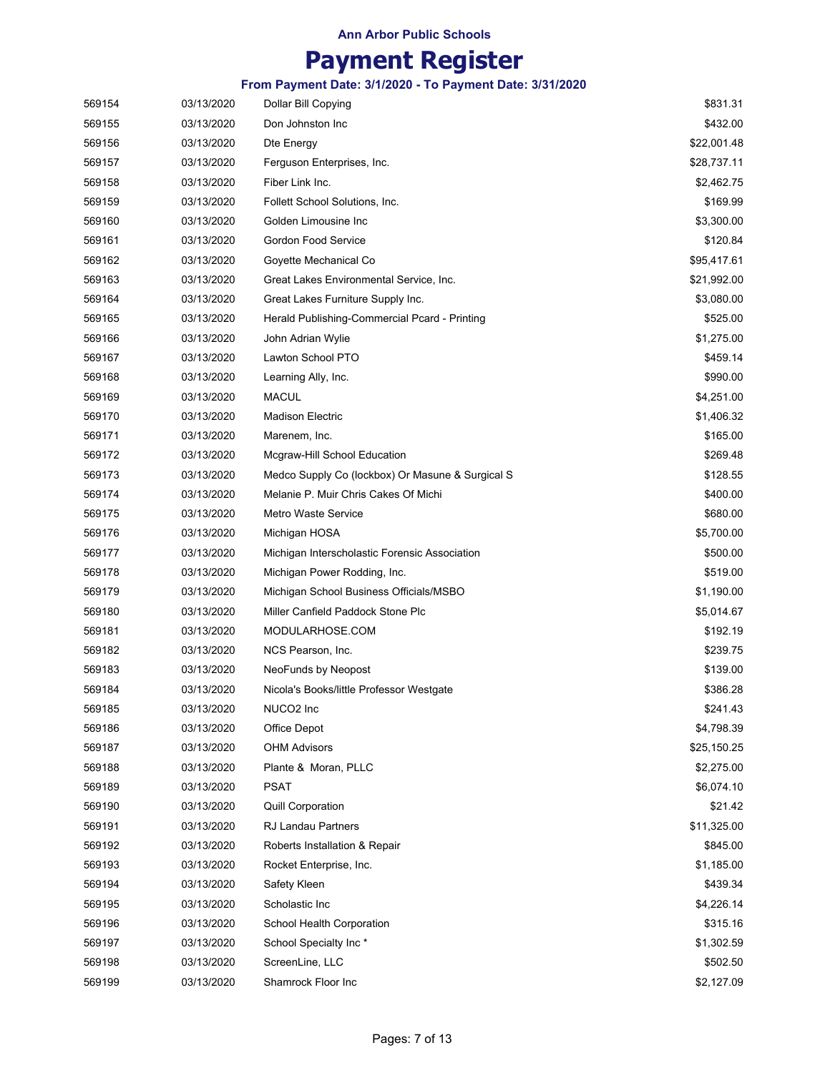# **Payment Register**

| 569154 | 03/13/2020 | Dollar Bill Copying                              | \$831.31    |
|--------|------------|--------------------------------------------------|-------------|
| 569155 | 03/13/2020 | Don Johnston Inc                                 | \$432.00    |
| 569156 | 03/13/2020 | Dte Energy                                       | \$22,001.48 |
| 569157 | 03/13/2020 | Ferguson Enterprises, Inc.                       | \$28,737.11 |
| 569158 | 03/13/2020 | Fiber Link Inc.                                  | \$2,462.75  |
| 569159 | 03/13/2020 | Follett School Solutions, Inc.                   | \$169.99    |
| 569160 | 03/13/2020 | Golden Limousine Inc                             | \$3,300.00  |
| 569161 | 03/13/2020 | Gordon Food Service                              | \$120.84    |
| 569162 | 03/13/2020 | Goyette Mechanical Co                            | \$95,417.61 |
| 569163 | 03/13/2020 | Great Lakes Environmental Service, Inc.          | \$21,992.00 |
| 569164 | 03/13/2020 | Great Lakes Furniture Supply Inc.                | \$3,080.00  |
| 569165 | 03/13/2020 | Herald Publishing-Commercial Pcard - Printing    | \$525.00    |
| 569166 | 03/13/2020 | John Adrian Wylie                                | \$1,275.00  |
| 569167 | 03/13/2020 | Lawton School PTO                                | \$459.14    |
| 569168 | 03/13/2020 | Learning Ally, Inc.                              | \$990.00    |
| 569169 | 03/13/2020 | <b>MACUL</b>                                     | \$4,251.00  |
| 569170 | 03/13/2020 | <b>Madison Electric</b>                          | \$1,406.32  |
| 569171 | 03/13/2020 | Marenem, Inc.                                    | \$165.00    |
| 569172 | 03/13/2020 | Mcgraw-Hill School Education                     | \$269.48    |
| 569173 | 03/13/2020 | Medco Supply Co (lockbox) Or Masune & Surgical S | \$128.55    |
| 569174 | 03/13/2020 | Melanie P. Muir Chris Cakes Of Michi             | \$400.00    |
| 569175 | 03/13/2020 | Metro Waste Service                              | \$680.00    |
| 569176 | 03/13/2020 | Michigan HOSA                                    | \$5,700.00  |
| 569177 | 03/13/2020 | Michigan Interscholastic Forensic Association    | \$500.00    |
| 569178 | 03/13/2020 | Michigan Power Rodding, Inc.                     | \$519.00    |
| 569179 | 03/13/2020 | Michigan School Business Officials/MSBO          | \$1,190.00  |
| 569180 | 03/13/2020 | Miller Canfield Paddock Stone Plc                | \$5,014.67  |
| 569181 | 03/13/2020 | MODULARHOSE.COM                                  | \$192.19    |
| 569182 | 03/13/2020 | NCS Pearson, Inc.                                | \$239.75    |
| 569183 | 03/13/2020 | NeoFunds by Neopost                              | \$139.00    |
| 569184 | 03/13/2020 | Nicola's Books/little Professor Westgate         | \$386.28    |
| 569185 | 03/13/2020 | NUCO2 Inc                                        | \$241.43    |
| 569186 | 03/13/2020 | Office Depot                                     | \$4,798.39  |
| 569187 | 03/13/2020 | <b>OHM Advisors</b>                              | \$25,150.25 |
| 569188 | 03/13/2020 | Plante & Moran, PLLC                             | \$2,275.00  |
| 569189 | 03/13/2020 | PSAT                                             | \$6,074.10  |
| 569190 | 03/13/2020 | <b>Quill Corporation</b>                         | \$21.42     |
| 569191 | 03/13/2020 | RJ Landau Partners                               | \$11,325.00 |
| 569192 | 03/13/2020 | Roberts Installation & Repair                    | \$845.00    |
| 569193 | 03/13/2020 | Rocket Enterprise, Inc.                          | \$1,185.00  |
| 569194 | 03/13/2020 | Safety Kleen                                     | \$439.34    |
| 569195 | 03/13/2020 | Scholastic Inc                                   | \$4,226.14  |
| 569196 | 03/13/2020 | School Health Corporation                        | \$315.16    |
| 569197 | 03/13/2020 | School Specialty Inc*                            | \$1,302.59  |
| 569198 | 03/13/2020 | ScreenLine, LLC                                  | \$502.50    |
| 569199 | 03/13/2020 | Shamrock Floor Inc                               | \$2,127.09  |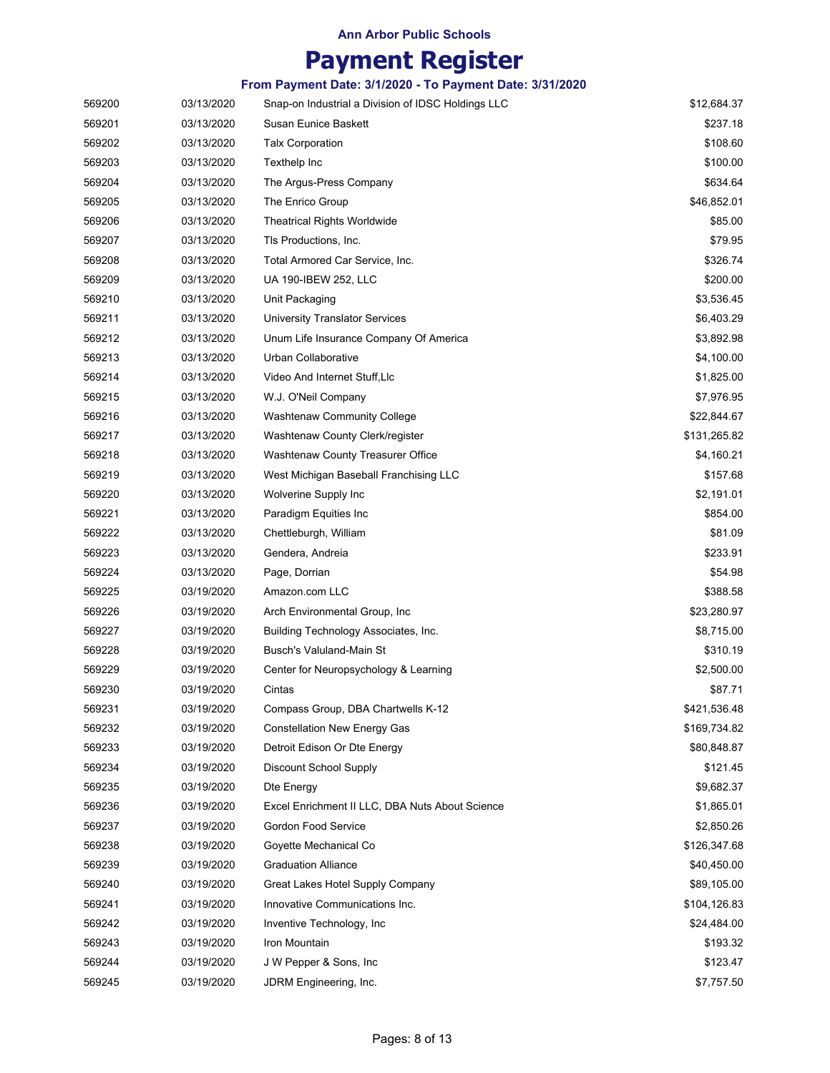# **Payment Register**

| 569200 | 03/13/2020 | Snap-on Industrial a Division of IDSC Holdings LLC | \$12,684.37  |
|--------|------------|----------------------------------------------------|--------------|
| 569201 | 03/13/2020 | Susan Eunice Baskett                               | \$237.18     |
| 569202 | 03/13/2020 | <b>Talx Corporation</b>                            | \$108.60     |
| 569203 | 03/13/2020 | Texthelp Inc                                       | \$100.00     |
| 569204 | 03/13/2020 | The Argus-Press Company                            | \$634.64     |
| 569205 | 03/13/2020 | The Enrico Group                                   | \$46,852.01  |
| 569206 | 03/13/2020 | <b>Theatrical Rights Worldwide</b>                 | \$85.00      |
| 569207 | 03/13/2020 | TIs Productions, Inc.                              | \$79.95      |
| 569208 | 03/13/2020 | Total Armored Car Service, Inc.                    | \$326.74     |
| 569209 | 03/13/2020 | UA 190-IBEW 252, LLC                               | \$200.00     |
| 569210 | 03/13/2020 | Unit Packaging                                     | \$3,536.45   |
| 569211 | 03/13/2020 | <b>University Translator Services</b>              | \$6,403.29   |
| 569212 | 03/13/2020 | Unum Life Insurance Company Of America             | \$3,892.98   |
| 569213 | 03/13/2020 | Urban Collaborative                                | \$4,100.00   |
| 569214 | 03/13/2020 | Video And Internet Stuff, Llc                      | \$1,825.00   |
| 569215 | 03/13/2020 | W.J. O'Neil Company                                | \$7,976.95   |
| 569216 | 03/13/2020 | <b>Washtenaw Community College</b>                 | \$22,844.67  |
| 569217 | 03/13/2020 | Washtenaw County Clerk/register                    | \$131,265.82 |
| 569218 | 03/13/2020 | Washtenaw County Treasurer Office                  | \$4,160.21   |
| 569219 | 03/13/2020 | West Michigan Baseball Franchising LLC             | \$157.68     |
| 569220 | 03/13/2020 | Wolverine Supply Inc                               | \$2,191.01   |
| 569221 | 03/13/2020 | Paradigm Equities Inc                              | \$854.00     |
| 569222 | 03/13/2020 | Chettleburgh, William                              | \$81.09      |
| 569223 | 03/13/2020 | Gendera, Andreia                                   | \$233.91     |
| 569224 | 03/13/2020 | Page, Dorrian                                      | \$54.98      |
| 569225 | 03/19/2020 | Amazon.com LLC                                     | \$388.58     |
| 569226 | 03/19/2020 | Arch Environmental Group, Inc.                     | \$23,280.97  |
| 569227 | 03/19/2020 | Building Technology Associates, Inc.               | \$8,715.00   |
| 569228 | 03/19/2020 | Busch's Valuland-Main St                           | \$310.19     |
| 569229 | 03/19/2020 | Center for Neuropsychology & Learning              | \$2,500.00   |
| 569230 | 03/19/2020 | Cintas                                             | \$87.71      |
| 569231 | 03/19/2020 | Compass Group, DBA Chartwells K-12                 | \$421,536.48 |
| 569232 | 03/19/2020 | <b>Constellation New Energy Gas</b>                | \$169,734.82 |
| 569233 | 03/19/2020 | Detroit Edison Or Dte Energy                       | \$80,848.87  |
| 569234 | 03/19/2020 | Discount School Supply                             | \$121.45     |
| 569235 | 03/19/2020 | Dte Energy                                         | \$9,682.37   |
| 569236 | 03/19/2020 | Excel Enrichment II LLC, DBA Nuts About Science    | \$1,865.01   |
| 569237 | 03/19/2020 | Gordon Food Service                                | \$2,850.26   |
| 569238 | 03/19/2020 | Goyette Mechanical Co                              | \$126,347.68 |
| 569239 | 03/19/2020 | <b>Graduation Alliance</b>                         | \$40,450.00  |
| 569240 | 03/19/2020 | Great Lakes Hotel Supply Company                   | \$89,105.00  |
| 569241 | 03/19/2020 | Innovative Communications Inc.                     | \$104,126.83 |
| 569242 | 03/19/2020 | Inventive Technology, Inc.                         | \$24,484.00  |
| 569243 | 03/19/2020 | Iron Mountain                                      | \$193.32     |
| 569244 | 03/19/2020 | J W Pepper & Sons, Inc                             | \$123.47     |
| 569245 | 03/19/2020 | JDRM Engineering, Inc.                             | \$7,757.50   |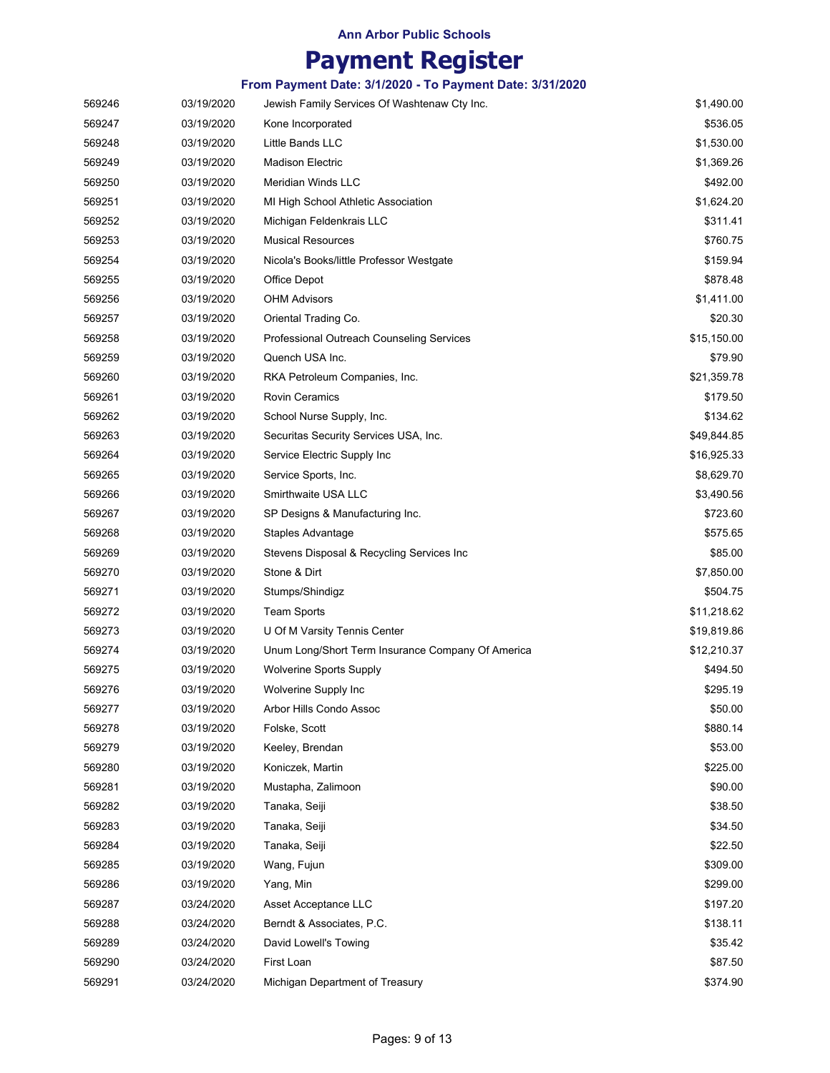# **Payment Register**

| 569246 | 03/19/2020 | Jewish Family Services Of Washtenaw Cty Inc.      | \$1,490.00  |
|--------|------------|---------------------------------------------------|-------------|
| 569247 | 03/19/2020 | Kone Incorporated                                 | \$536.05    |
| 569248 | 03/19/2020 | Little Bands LLC                                  | \$1,530.00  |
| 569249 | 03/19/2020 | <b>Madison Electric</b>                           | \$1,369.26  |
| 569250 | 03/19/2020 | <b>Meridian Winds LLC</b>                         | \$492.00    |
| 569251 | 03/19/2020 | MI High School Athletic Association               | \$1,624.20  |
| 569252 | 03/19/2020 | Michigan Feldenkrais LLC                          | \$311.41    |
| 569253 | 03/19/2020 | <b>Musical Resources</b>                          | \$760.75    |
| 569254 | 03/19/2020 | Nicola's Books/little Professor Westgate          | \$159.94    |
| 569255 | 03/19/2020 | Office Depot                                      | \$878.48    |
| 569256 | 03/19/2020 | <b>OHM Advisors</b>                               | \$1,411.00  |
| 569257 | 03/19/2020 | Oriental Trading Co.                              | \$20.30     |
| 569258 | 03/19/2020 | Professional Outreach Counseling Services         | \$15,150.00 |
| 569259 | 03/19/2020 | Quench USA Inc.                                   | \$79.90     |
| 569260 | 03/19/2020 | RKA Petroleum Companies, Inc.                     | \$21,359.78 |
| 569261 | 03/19/2020 | <b>Rovin Ceramics</b>                             | \$179.50    |
| 569262 | 03/19/2020 | School Nurse Supply, Inc.                         | \$134.62    |
| 569263 | 03/19/2020 | Securitas Security Services USA, Inc.             | \$49,844.85 |
| 569264 | 03/19/2020 | Service Electric Supply Inc                       | \$16,925.33 |
| 569265 | 03/19/2020 | Service Sports, Inc.                              | \$8,629.70  |
| 569266 | 03/19/2020 | Smirthwaite USA LLC                               | \$3,490.56  |
| 569267 | 03/19/2020 | SP Designs & Manufacturing Inc.                   | \$723.60    |
| 569268 | 03/19/2020 | Staples Advantage                                 | \$575.65    |
| 569269 | 03/19/2020 | Stevens Disposal & Recycling Services Inc         | \$85.00     |
| 569270 | 03/19/2020 | Stone & Dirt                                      | \$7,850.00  |
| 569271 | 03/19/2020 | Stumps/Shindigz                                   | \$504.75    |
| 569272 | 03/19/2020 | <b>Team Sports</b>                                | \$11,218.62 |
| 569273 | 03/19/2020 | U Of M Varsity Tennis Center                      | \$19,819.86 |
| 569274 | 03/19/2020 | Unum Long/Short Term Insurance Company Of America | \$12,210.37 |
| 569275 | 03/19/2020 | <b>Wolverine Sports Supply</b>                    | \$494.50    |
| 569276 | 03/19/2020 | Wolverine Supply Inc                              | \$295.19    |
| 569277 | 03/19/2020 | Arbor Hills Condo Assoc                           | \$50.00     |
| 569278 | 03/19/2020 | Folske, Scott                                     | \$880.14    |
| 569279 | 03/19/2020 | Keeley, Brendan                                   | \$53.00     |
| 569280 | 03/19/2020 | Koniczek, Martin                                  | \$225.00    |
| 569281 | 03/19/2020 | Mustapha, Zalimoon                                | \$90.00     |
| 569282 | 03/19/2020 | Tanaka, Seiji                                     | \$38.50     |
| 569283 | 03/19/2020 | Tanaka, Seiji                                     | \$34.50     |
| 569284 | 03/19/2020 | Tanaka, Seiji                                     | \$22.50     |
| 569285 | 03/19/2020 | Wang, Fujun                                       | \$309.00    |
| 569286 | 03/19/2020 | Yang, Min                                         | \$299.00    |
| 569287 | 03/24/2020 | Asset Acceptance LLC                              | \$197.20    |
| 569288 | 03/24/2020 | Berndt & Associates, P.C.                         | \$138.11    |
| 569289 | 03/24/2020 | David Lowell's Towing                             | \$35.42     |
| 569290 | 03/24/2020 | First Loan                                        | \$87.50     |
| 569291 | 03/24/2020 | Michigan Department of Treasury                   | \$374.90    |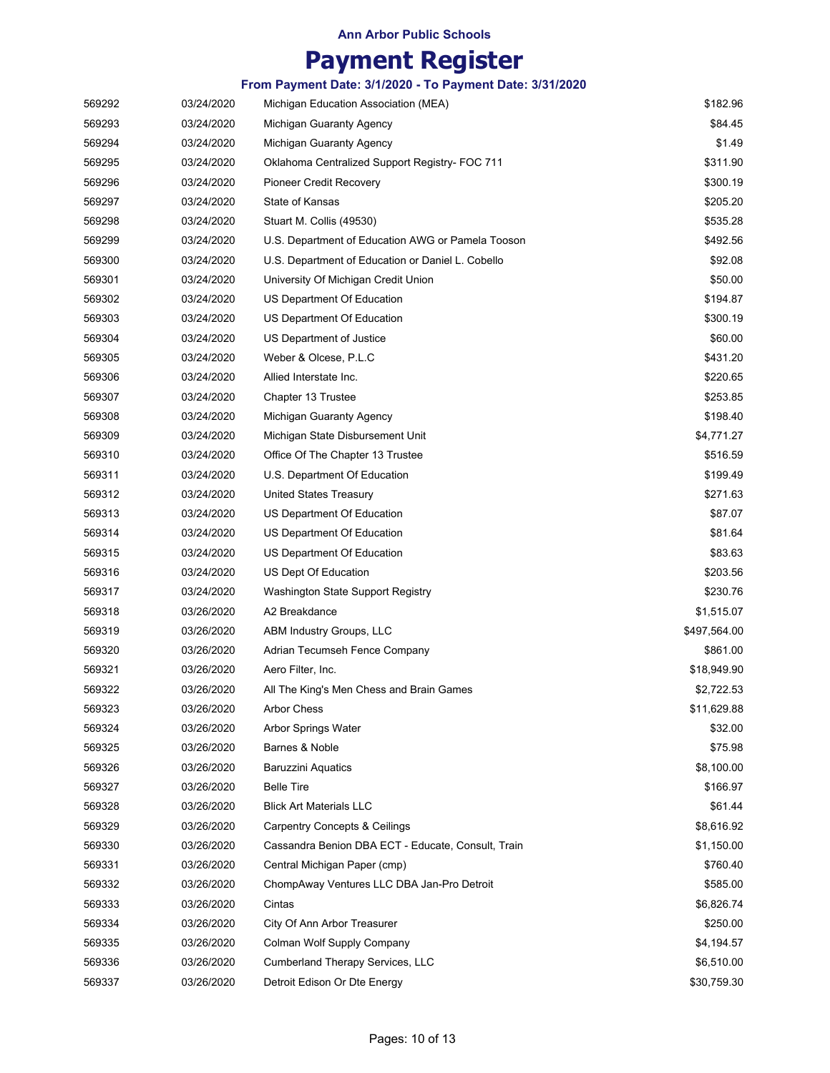# **Payment Register**

| 569292 | 03/24/2020 | Michigan Education Association (MEA)               | \$182.96     |
|--------|------------|----------------------------------------------------|--------------|
| 569293 | 03/24/2020 | Michigan Guaranty Agency                           | \$84.45      |
| 569294 | 03/24/2020 | Michigan Guaranty Agency                           | \$1.49       |
| 569295 | 03/24/2020 | Oklahoma Centralized Support Registry- FOC 711     | \$311.90     |
| 569296 | 03/24/2020 | Pioneer Credit Recovery                            | \$300.19     |
| 569297 | 03/24/2020 | State of Kansas                                    | \$205.20     |
| 569298 | 03/24/2020 | Stuart M. Collis (49530)                           | \$535.28     |
| 569299 | 03/24/2020 | U.S. Department of Education AWG or Pamela Tooson  | \$492.56     |
| 569300 | 03/24/2020 | U.S. Department of Education or Daniel L. Cobello  | \$92.08      |
| 569301 | 03/24/2020 | University Of Michigan Credit Union                | \$50.00      |
| 569302 | 03/24/2020 | US Department Of Education                         | \$194.87     |
| 569303 | 03/24/2020 | US Department Of Education                         | \$300.19     |
| 569304 | 03/24/2020 | US Department of Justice                           | \$60.00      |
| 569305 | 03/24/2020 | Weber & Olcese, P.L.C                              | \$431.20     |
| 569306 | 03/24/2020 | Allied Interstate Inc.                             | \$220.65     |
| 569307 | 03/24/2020 | Chapter 13 Trustee                                 | \$253.85     |
| 569308 | 03/24/2020 | Michigan Guaranty Agency                           | \$198.40     |
| 569309 | 03/24/2020 | Michigan State Disbursement Unit                   | \$4,771.27   |
| 569310 | 03/24/2020 | Office Of The Chapter 13 Trustee                   | \$516.59     |
| 569311 | 03/24/2020 | U.S. Department Of Education                       | \$199.49     |
| 569312 | 03/24/2020 | <b>United States Treasury</b>                      | \$271.63     |
| 569313 | 03/24/2020 | US Department Of Education                         | \$87.07      |
| 569314 | 03/24/2020 | US Department Of Education                         | \$81.64      |
| 569315 | 03/24/2020 | US Department Of Education                         | \$83.63      |
| 569316 | 03/24/2020 | US Dept Of Education                               | \$203.56     |
| 569317 | 03/24/2020 | Washington State Support Registry                  | \$230.76     |
| 569318 | 03/26/2020 | A2 Breakdance                                      | \$1,515.07   |
| 569319 | 03/26/2020 | ABM Industry Groups, LLC                           | \$497,564.00 |
| 569320 | 03/26/2020 | Adrian Tecumseh Fence Company                      | \$861.00     |
| 569321 | 03/26/2020 | Aero Filter, Inc.                                  | \$18,949.90  |
| 569322 | 03/26/2020 | All The King's Men Chess and Brain Games           | \$2,722.53   |
| 569323 | 03/26/2020 | <b>Arbor Chess</b>                                 | \$11,629.88  |
| 569324 | 03/26/2020 | Arbor Springs Water                                | \$32.00      |
| 569325 | 03/26/2020 | Barnes & Noble                                     | \$75.98      |
| 569326 | 03/26/2020 | <b>Baruzzini Aquatics</b>                          | \$8,100.00   |
| 569327 | 03/26/2020 | <b>Belle Tire</b>                                  | \$166.97     |
| 569328 | 03/26/2020 | <b>Blick Art Materials LLC</b>                     | \$61.44      |
| 569329 | 03/26/2020 | <b>Carpentry Concepts &amp; Ceilings</b>           | \$8,616.92   |
| 569330 | 03/26/2020 | Cassandra Benion DBA ECT - Educate, Consult, Train | \$1,150.00   |
| 569331 | 03/26/2020 | Central Michigan Paper (cmp)                       | \$760.40     |
| 569332 | 03/26/2020 | ChompAway Ventures LLC DBA Jan-Pro Detroit         | \$585.00     |
| 569333 | 03/26/2020 | Cintas                                             | \$6,826.74   |
| 569334 | 03/26/2020 | City Of Ann Arbor Treasurer                        | \$250.00     |
| 569335 | 03/26/2020 | Colman Wolf Supply Company                         | \$4,194.57   |
| 569336 | 03/26/2020 | <b>Cumberland Therapy Services, LLC</b>            | \$6,510.00   |
| 569337 | 03/26/2020 | Detroit Edison Or Dte Energy                       | \$30,759.30  |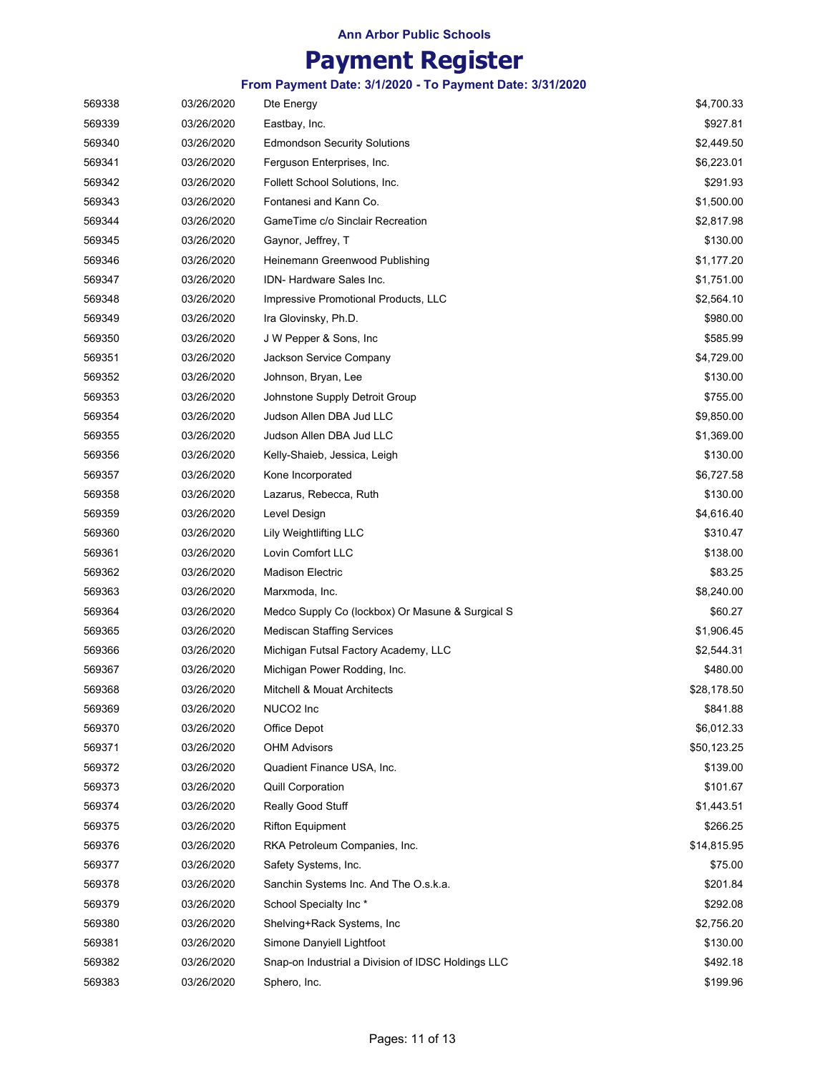# **Payment Register**

| 569338 | 03/26/2020 | Dte Energy                                         | \$4,700.33  |
|--------|------------|----------------------------------------------------|-------------|
| 569339 | 03/26/2020 | Eastbay, Inc.                                      | \$927.81    |
| 569340 | 03/26/2020 | <b>Edmondson Security Solutions</b>                | \$2,449.50  |
| 569341 | 03/26/2020 | Ferguson Enterprises, Inc.                         | \$6,223.01  |
| 569342 | 03/26/2020 | Follett School Solutions, Inc.                     | \$291.93    |
| 569343 | 03/26/2020 | Fontanesi and Kann Co.                             | \$1,500.00  |
| 569344 | 03/26/2020 | GameTime c/o Sinclair Recreation                   | \$2,817.98  |
| 569345 | 03/26/2020 | Gaynor, Jeffrey, T                                 | \$130.00    |
| 569346 | 03/26/2020 | Heinemann Greenwood Publishing                     | \$1,177.20  |
| 569347 | 03/26/2020 | <b>IDN- Hardware Sales Inc.</b>                    | \$1,751.00  |
| 569348 | 03/26/2020 | Impressive Promotional Products, LLC               | \$2,564.10  |
| 569349 | 03/26/2020 | Ira Glovinsky, Ph.D.                               | \$980.00    |
| 569350 | 03/26/2020 | J W Pepper & Sons, Inc                             | \$585.99    |
| 569351 | 03/26/2020 | Jackson Service Company                            | \$4,729.00  |
| 569352 | 03/26/2020 | Johnson, Bryan, Lee                                | \$130.00    |
| 569353 | 03/26/2020 | Johnstone Supply Detroit Group                     | \$755.00    |
| 569354 | 03/26/2020 | Judson Allen DBA Jud LLC                           | \$9,850.00  |
| 569355 | 03/26/2020 | Judson Allen DBA Jud LLC                           | \$1,369.00  |
| 569356 | 03/26/2020 | Kelly-Shaieb, Jessica, Leigh                       | \$130.00    |
| 569357 | 03/26/2020 | Kone Incorporated                                  | \$6,727.58  |
| 569358 | 03/26/2020 | Lazarus, Rebecca, Ruth                             | \$130.00    |
| 569359 | 03/26/2020 | Level Design                                       | \$4,616.40  |
| 569360 | 03/26/2020 | Lily Weightlifting LLC                             | \$310.47    |
| 569361 | 03/26/2020 | Lovin Comfort LLC                                  | \$138.00    |
| 569362 | 03/26/2020 | <b>Madison Electric</b>                            | \$83.25     |
| 569363 | 03/26/2020 | Marxmoda, Inc.                                     | \$8,240.00  |
| 569364 | 03/26/2020 | Medco Supply Co (lockbox) Or Masune & Surgical S   | \$60.27     |
| 569365 | 03/26/2020 | <b>Mediscan Staffing Services</b>                  | \$1,906.45  |
| 569366 | 03/26/2020 | Michigan Futsal Factory Academy, LLC               | \$2,544.31  |
| 569367 | 03/26/2020 | Michigan Power Rodding, Inc.                       | \$480.00    |
| 569368 | 03/26/2020 | Mitchell & Mouat Architects                        | \$28,178.50 |
| 569369 | 03/26/2020 | NUCO2 Inc                                          | \$841.88    |
| 569370 | 03/26/2020 | Office Depot                                       | \$6,012.33  |
| 569371 | 03/26/2020 | <b>OHM Advisors</b>                                | \$50,123.25 |
| 569372 | 03/26/2020 | Quadient Finance USA, Inc.                         | \$139.00    |
| 569373 | 03/26/2020 | <b>Quill Corporation</b>                           | \$101.67    |
| 569374 | 03/26/2020 | Really Good Stuff                                  | \$1,443.51  |
| 569375 | 03/26/2020 | <b>Rifton Equipment</b>                            | \$266.25    |
| 569376 | 03/26/2020 | RKA Petroleum Companies, Inc.                      | \$14,815.95 |
| 569377 | 03/26/2020 | Safety Systems, Inc.                               | \$75.00     |
| 569378 | 03/26/2020 | Sanchin Systems Inc. And The O.s.k.a.              | \$201.84    |
| 569379 | 03/26/2020 | School Specialty Inc*                              | \$292.08    |
| 569380 | 03/26/2020 | Shelving+Rack Systems, Inc                         | \$2,756.20  |
| 569381 | 03/26/2020 | Simone Danyiell Lightfoot                          | \$130.00    |
| 569382 | 03/26/2020 | Snap-on Industrial a Division of IDSC Holdings LLC | \$492.18    |
| 569383 | 03/26/2020 | Sphero, Inc.                                       | \$199.96    |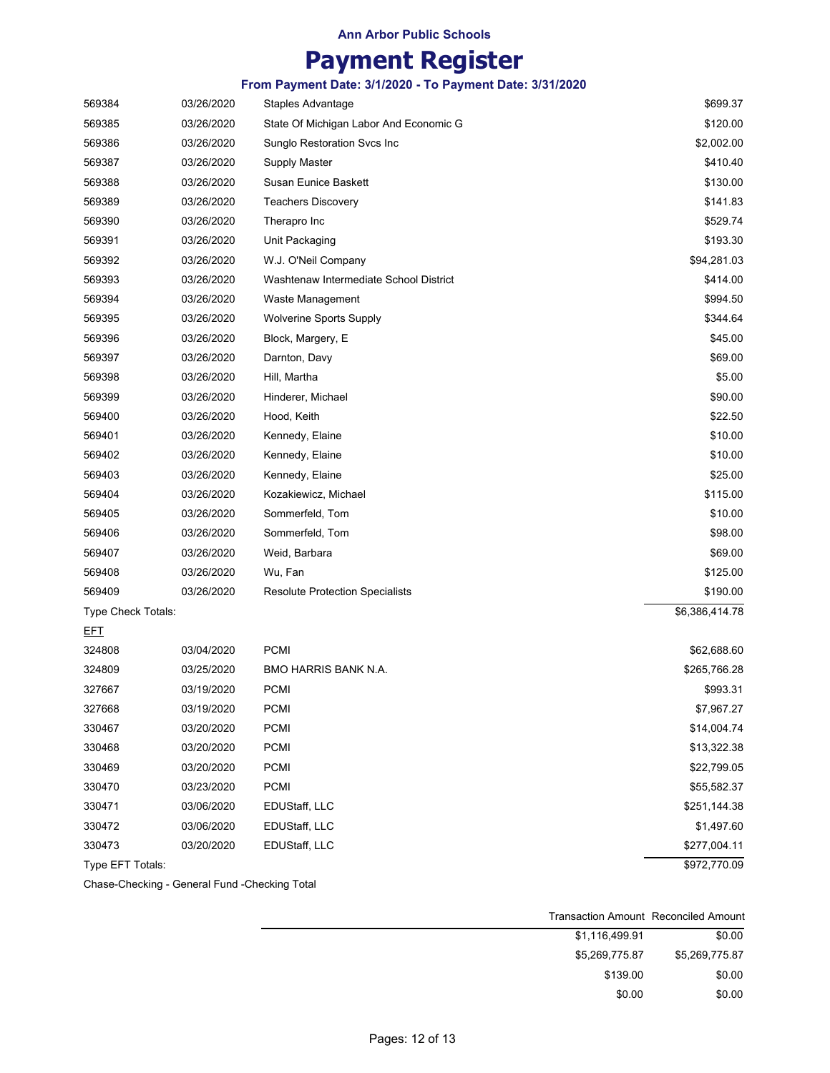### **Payment Register**

**From Payment Date: 3/1/2020 - To Payment Date: 3/31/2020**

| 569384             | 03/26/2020 | Staples Advantage                      | \$699.37                   |
|--------------------|------------|----------------------------------------|----------------------------|
| 569385             | 03/26/2020 | State Of Michigan Labor And Economic G | \$120.00                   |
| 569386             | 03/26/2020 | Sunglo Restoration Svcs Inc            | \$2,002.00                 |
| 569387             | 03/26/2020 | Supply Master                          | \$410.40                   |
| 569388             | 03/26/2020 | Susan Eunice Baskett                   | \$130.00                   |
| 569389             | 03/26/2020 | Teachers Discovery                     | \$141.83                   |
| 569390             | 03/26/2020 | Therapro Inc                           | \$529.74                   |
| 569391             | 03/26/2020 | Unit Packaging                         | \$193.30                   |
| 569392             | 03/26/2020 | W.J. O'Neil Company                    | \$94,281.03                |
| 569393             | 03/26/2020 | Washtenaw Intermediate School District | \$414.00                   |
| 569394             | 03/26/2020 | Waste Management                       | \$994.50                   |
| 569395             | 03/26/2020 | <b>Wolverine Sports Supply</b>         | \$344.64                   |
| 569396             | 03/26/2020 | Block, Margery, E                      | \$45.00                    |
| 569397             | 03/26/2020 | Darnton, Davy                          | \$69.00                    |
| 569398             | 03/26/2020 | Hill, Martha                           | \$5.00                     |
| 569399             | 03/26/2020 | Hinderer, Michael                      | \$90.00                    |
| 569400             | 03/26/2020 | Hood, Keith                            | \$22.50                    |
| 569401             | 03/26/2020 | Kennedy, Elaine                        | \$10.00                    |
| 569402             | 03/26/2020 | Kennedy, Elaine                        | \$10.00                    |
| 569403             | 03/26/2020 | Kennedy, Elaine                        | \$25.00                    |
| 569404             | 03/26/2020 | Kozakiewicz, Michael                   | \$115.00                   |
| 569405             | 03/26/2020 | Sommerfeld, Tom                        | \$10.00                    |
| 569406             | 03/26/2020 | Sommerfeld, Tom                        | \$98.00                    |
| 569407             | 03/26/2020 | Weid, Barbara                          | \$69.00                    |
| 569408             | 03/26/2020 | Wu, Fan                                | \$125.00                   |
| 569409             | 03/26/2020 | Resolute Protection Specialists        | \$190.00                   |
| Type Check Totals: |            |                                        | $\overline{$6,386,414.78}$ |
| <b>EFT</b>         |            |                                        |                            |
| 324808             | 03/04/2020 | <b>PCMI</b>                            | \$62,688.60                |
| 324809             | 03/25/2020 | <b>BMO HARRIS BANK N.A.</b>            | \$265,766.28               |
| 327667             | 03/19/2020 | <b>PCMI</b>                            | \$993.31                   |
| 327668             | 03/19/2020 | <b>PCMI</b>                            | \$7,967.27                 |
| 330467             | 03/20/2020 | PCMI                                   | \$14,004.74                |
| 330468             | 03/20/2020 | PCMI                                   | \$13,322.38                |
| 330469             | 03/20/2020 | PCMI                                   | \$22,799.05                |
| 330470             | 03/23/2020 | PCMI                                   | \$55,582.37                |
| 330471             | 03/06/2020 | EDUStaff, LLC                          | \$251,144.38               |
| 330472             | 03/06/2020 | EDUStaff, LLC                          | \$1,497.60                 |
| 330473             | 03/20/2020 | EDUStaff, LLC                          | \$277,004.11               |
| Type EFT Totals:   |            |                                        | \$972,770.09               |

Chase-Checking - General Fund -Checking Total

|                | <b>Transaction Amount Reconciled Amount</b> |
|----------------|---------------------------------------------|
| \$0.00         | \$1.116.499.91                              |
| \$5.269.775.87 | \$5.269.775.87                              |
| \$0.00         | \$139.00                                    |
| \$0.00         | \$0.00                                      |